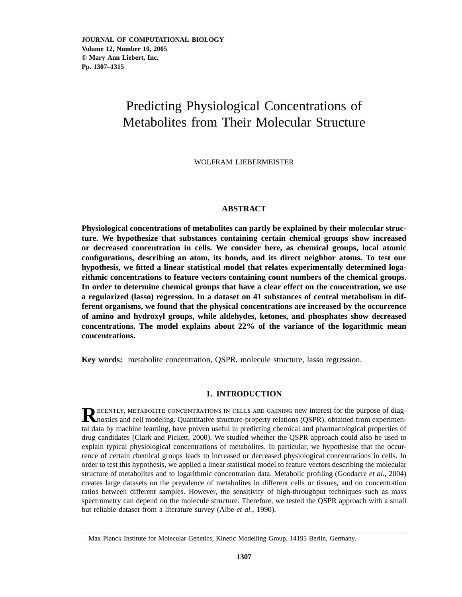# Predicting Physiological Concentrations of Metabolites from Their Molecular Structure

WOLFRAM LIEBERMEISTER

# **ABSTRACT**

**Physiological concentrations of metabolites can partly be explained by their molecular structure. We hypothesize that substances containing certain chemical groups show increased or decreased concentration in cells. We consider here, as chemical groups, local atomic configurations, describing an atom, its bonds, and its direct neighbor atoms. To test our hypothesis, we fitted a linear statistical model that relates experimentally determined logarithmic concentrations to feature vectors containing count numbers of the chemical groups. In order to determine chemical groups that have a clear effect on the concentration, we use a regularized (lasso) regression. In a dataset on 41 substances of central metabolism in different organisms, we found that the physical concentrations are increased by the occurrence of amino and hydroxyl groups, while aldehydes, ketones, and phosphates show decreased concentrations. The model explains about 22% of the variance of the logarithmic mean concentrations.**

**Key words:** metabolite concentration, QSPR, molecule structure, lasso regression.

# **1. INTRODUCTION**

**RECENTLY, METABOLITE CONCENTRATIONS IN CELLS ARE GAINING new interest for the purpose of diag-<br>nostics and cell modeling. Quantitative structure-property relations (QSPR), obtained from experimen**tal data by machine learning, have proven useful in predicting chemical and pharmacological properties of drug candidates (Clark and Pickett, 2000). We studied whether the QSPR approach could also be used to explain typical physiological concentrations of metabolites. In particular, we hypothesise that the occurrence of certain chemical groups leads to increased or decreased physiological concentrations in cells. In order to test this hypothesis, we applied a linear statistical model to feature vectors describing the molecular structure of metabolites and to logarithmic concentration data. Metabolic profiling (Goodacre *et al.*, 2004) creates large datasets on the prevalence of metabolites in different cells or tissues, and on concentration ratios between different samples. However, the sensitivity of high-throughput techniques such as mass spectrometry can depend on the molecule structure. Therefore, we tested the QSPR approach with a small but reliable dataset from a literature survey (Albe *et al.*, 1990).

Max Planck Institute for Molecular Genetics, Kinetic Modelling Group, 14195 Berlin, Germany.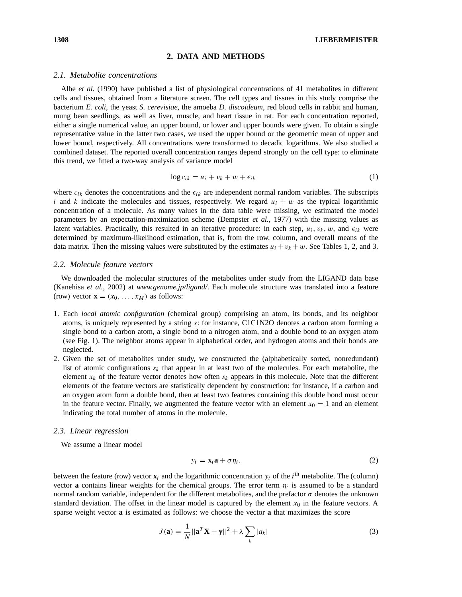# **2. DATA AND METHODS**

#### *2.1. Metabolite concentrations*

Albe *et al.* (1990) have published a list of physiological concentrations of 41 metabolites in different cells and tissues, obtained from a literature screen. The cell types and tissues in this study comprise the bacterium *E. coli*, the yeast *S. cerevisiae*, the amoeba *D. discoideum*, red blood cells in rabbit and human, mung bean seedlings, as well as liver, muscle, and heart tissue in rat. For each concentration reported, either a single numerical value, an upper bound, or lower and upper bounds were given. To obtain a single representative value in the latter two cases, we used the upper bound or the geometric mean of upper and lower bound, respectively. All concentrations were transformed to decadic logarithms. We also studied a combined dataset. The reported overall concentration ranges depend strongly on the cell type: to eliminate this trend, we fitted a two-way analysis of variance model

$$
\log c_{ik} = u_i + v_k + w + \epsilon_{ik} \tag{1}
$$

where  $c_{ik}$  denotes the concentrations and the  $\epsilon_{ik}$  are independent normal random variables. The subscripts i and k indicate the molecules and tissues, respectively. We regard  $u_i + w$  as the typical logarithmic concentration of a molecule. As many values in the data table were missing, we estimated the model parameters by an expectation-maximization scheme (Dempster *et al.*, 1977) with the missing values as latent variables. Practically, this resulted in an iterative procedure: in each step,  $u_i, v_k, w$ , and  $\epsilon_{ik}$  were determined by maximum-likelihood estimation, that is, from the row, column, and overall means of the data matrix. Then the missing values were substituted by the estimates  $u_i + v_k + w$ . See Tables 1, 2, and 3.

#### *2.2. Molecule feature vectors*

We downloaded the molecular structures of the metabolites under study from the LIGAND data base (Kanehisa *et al.*, 2002) at *www.genome.jp/ligand/*. Each molecule structure was translated into a feature (row) vector  $\mathbf{x} = (x_0, \dots, x_M)$  as follows:

- 1. Each *local atomic configuration* (chemical group) comprising an atom, its bonds, and its neighbor atoms, is uniquely represented by a string s: for instance, C1C1N2O denotes a carbon atom forming a single bond to a carbon atom, a single bond to a nitrogen atom, and a double bond to an oxygen atom (see Fig. 1). The neighbor atoms appear in alphabetical order, and hydrogen atoms and their bonds are neglected.
- 2. Given the set of metabolites under study, we constructed the (alphabetically sorted, nonredundant) list of atomic configurations  $s_k$  that appear in at least two of the molecules. For each metabolite, the element  $x_k$  of the feature vector denotes how often  $s_k$  appears in this molecule. Note that the different elements of the feature vectors are statistically dependent by construction: for instance, if a carbon and an oxygen atom form a double bond, then at least two features containing this double bond must occur in the feature vector. Finally, we augmented the feature vector with an element  $x_0 = 1$  and an element indicating the total number of atoms in the molecule.

#### *2.3. Linear regression*

We assume a linear model

$$
y_i = \mathbf{x}_i \mathbf{a} + \sigma \eta_i. \tag{2}
$$

between the feature (row) vector  $\mathbf{x}_i$  and the logarithmic concentration  $y_i$  of the  $i^{\text{th}}$  metabolite. The (column) vector **a** contains linear weights for the chemical groups. The error term  $\eta_i$  is assumed to be a standard normal random variable, independent for the different metabolites, and the prefactor σ denotes the unknown standard deviation. The offset in the linear model is captured by the element  $x_0$  in the feature vectors. A sparse weight vector **a** is estimated as follows: we choose the vector **a** that maximizes the score

$$
J(\mathbf{a}) = \frac{1}{N} ||\mathbf{a}^T \mathbf{X} - \mathbf{y}||^2 + \lambda \sum_{k} |a_k|
$$
 (3)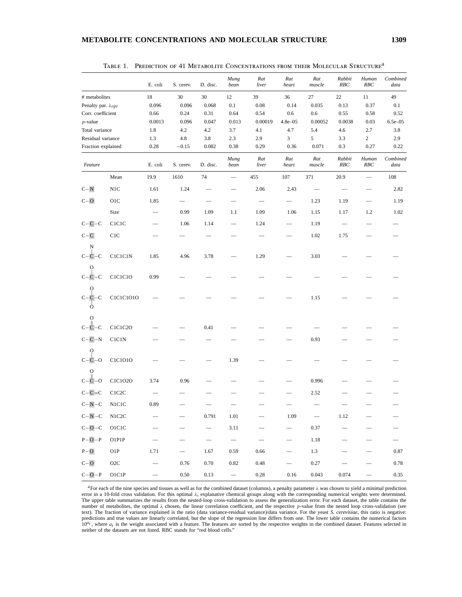|                              |                    | E. coli                  | S. cerev.                | D. disc.                 | Mung<br>bean             | Rat<br>liver             | Rat<br>heart      | Rat<br>muscle            | Rabbit<br>RBC            | Human<br>RBC | Combined<br>data  |
|------------------------------|--------------------|--------------------------|--------------------------|--------------------------|--------------------------|--------------------------|-------------------|--------------------------|--------------------------|--------------|-------------------|
| # metabolites                |                    | 18                       | 30                       | 30                       | 12                       | 39                       | 36                | 27                       | 22                       | 11           | 49                |
| Penalty par. $\lambda_{opt}$ |                    | 0.096                    | 0.096                    | 0.068                    | 0.1                      | 0.08                     | 0.14              | 0.035                    | 0.13                     | 0.37         | 0.1               |
| Corr. coefficient            |                    | 0.66                     | 0.24                     | 0.31                     | 0.64                     | 0.54                     | 0.6               | 0.6                      | 0.55                     | 0.58         | 0.52              |
| $p$ -value                   |                    | 0.0013                   | 0.096                    | 0.047                    | 0.013                    | 0.00019                  | $4.8e - 05$       | 0.00052                  | 0.0038                   | 0.03         | $6.5e - 05$       |
| Total variance               |                    | 1.8                      | 4.2                      | 4.2                      | 3.7                      | 4.1                      | 4.7               | 5.4                      | 4.6                      | 2.7          | 3.8               |
| Residual variance            |                    | 1.3                      | 4.8                      | 3.8                      | 2.3                      | 2.9                      | 3                 | 5                        | 3.3                      | $\sqrt{2}$   | 2.9               |
| Fraction explained           |                    | 0.28                     | $-0.15$                  | 0.082                    | 0.38                     | 0.29                     | 0.36              | 0.071                    | 0.3                      | 0.27         | 0.22              |
| Feature                      |                    | E. coli                  | S. cerev.                | D. disc.                 | Mung<br>bean             | Rat<br>liver             | Rat<br>heart      | Rat<br>muscle            | Rabbit<br>RBC            | Human<br>RBC | Combined<br>data  |
|                              | Mean               | 19.9                     | 1610                     | 74                       |                          | 455                      | 107               | 371                      | 20.9                     |              | 108               |
| $C-N$                        | N1C                | 1.61                     | 1.24                     |                          |                          | 2.06                     | 2.43              |                          |                          |              | 2.82              |
| $C - O$                      | O1C                | 1.85                     | $\overline{\phantom{0}}$ |                          |                          |                          |                   | 1.23                     | 1.19                     |              | 1.19              |
|                              | Size               |                          | 0.99                     | 1.09                     | 1.1                      | 1.09                     | 1.06              | 1.15                     | 1.17                     | 1.2          | 1.02              |
| $C-C-C$                      | CICIC              |                          | 1.06                     | 1.14                     |                          | 1.24                     |                   | 1.19                     |                          |              |                   |
| $C-C$                        | C1C                |                          |                          |                          |                          |                          |                   | 1.02                     | 1.75                     |              |                   |
| N<br>-C<br>-C-               | C1C1C1N            | 1.85                     | 4.96                     | 3.78                     |                          | 1.29                     |                   | 3.03                     |                          |              |                   |
| О<br>$\overline{C}$<br>-С    | C1C1C1O            | 0.99                     |                          |                          |                          |                          |                   |                          |                          |              |                   |
| Ω<br>٠C<br>Ò                 | C1C1C1010          |                          |                          |                          |                          |                          |                   | 1.15                     |                          |              |                   |
| O<br>-C                      | C1C1C2O            |                          |                          | 0.41                     |                          |                          |                   |                          |                          |              |                   |
| $C - C - N$                  | <b>CICIN</b>       |                          |                          |                          |                          |                          |                   | 0.93                     |                          |              |                   |
| О<br>$C-C-O$                 | C1C1010            |                          |                          |                          | 1.39                     |                          |                   |                          |                          |              |                   |
| о<br>-0<br>-C                | C1C1O2O            | 3.74                     | 0.96                     |                          |                          |                          |                   | 0.996                    |                          |              |                   |
| $C-C=C$                      | C1C <sub>2</sub> C |                          |                          |                          |                          |                          |                   | 2.52                     |                          |              |                   |
| $C-N-C$                      | N1C1C              | 0.89                     |                          |                          |                          |                          |                   |                          |                          |              |                   |
| $C-N-C$                      | N1C2C              |                          |                          | 0.791                    | 1.01                     |                          | 1.09              | $\overline{\phantom{m}}$ | 1.12                     |              |                   |
| $C-O-C$                      | O1C1C              |                          |                          | $\overline{\phantom{0}}$ | 3.11                     |                          |                   | 0.37                     |                          |              |                   |
| $P-O-P$                      | O1P1P              |                          | $\qquad \qquad$          | $\overline{\phantom{0}}$ | $\overline{\phantom{m}}$ | $\overline{\phantom{m}}$ | $\qquad \qquad -$ | 1.18                     | $\overline{\phantom{0}}$ |              | $\qquad \qquad -$ |
| $P-O$                        | O1P                | 1.71                     | $\overline{\phantom{0}}$ | 1.67                     | 0.59                     | 0.66                     |                   | 1.3                      |                          |              | 0.87              |
| $C - O$                      | $O2C$              |                          | $0.76\,$                 | 0.70                     | 0.82                     | 0.48                     | $\qquad \qquad -$ | 0.27                     |                          |              | 0.78              |
| $C-O-P$                      | O1C1P              | $\overline{\phantom{0}}$ | 0.50                     | 0.13                     | $\overline{\phantom{0}}$ | 0.28                     | 0.16              | 0.043                    | 0.074                    |              | 0.35              |

|  | TABLE 1. PREDICTION OF 41 METABOLITE CONCENTRATIONS FROM THEIR MOLECULAR STRUCTURE <sup>a</sup> |  |  |
|--|-------------------------------------------------------------------------------------------------|--|--|
|  |                                                                                                 |  |  |

<sup>a</sup>For each of the nine species and tissues as well as for the combined dataset (columns), a penalty parameter  $\lambda$  was chosen to yield a minimal prediction<br>error in a 10-fold cross validation. For this optimal  $\lambda$ , expl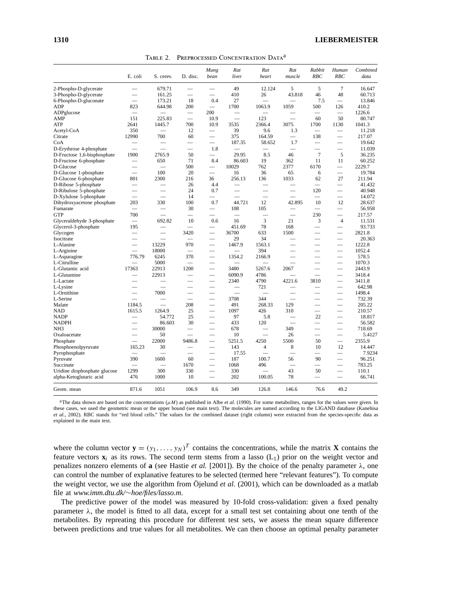|  | TABLE 2. PREPROCESSED CONCENTRATION DATA <sup>a</sup> |  |
|--|-------------------------------------------------------|--|
|  |                                                       |  |

|                                        | E. coli                  | S. cerev.                | D. disc.                 | Mung<br>bean             | Rat<br>liver             | Rat<br>heart             | Rat<br>muscle            | Rabbit<br>RBC            | Human<br>RBC             | Combined<br>data |
|----------------------------------------|--------------------------|--------------------------|--------------------------|--------------------------|--------------------------|--------------------------|--------------------------|--------------------------|--------------------------|------------------|
| 2-Phospho-D-glycerate                  |                          | 679.71                   |                          |                          | 49                       | 12.124                   | 5                        | 5                        | 7                        | 16.647           |
| 3-Phospho-D-glycerate                  | $\overline{\phantom{0}}$ | 161.25                   | $\overline{\phantom{0}}$ | $\overline{\phantom{0}}$ | 410                      | 26                       | 43.818                   | 46                       | 48                       | 60.713           |
| 6-Phospho-D-gluconate                  |                          | 173.21                   | 18                       | 0.4                      | 27                       |                          |                          | 7.5                      | $\overline{\phantom{0}}$ | 13.846           |
| ADP                                    | 823                      | 644.98                   | 200                      |                          | 1700                     | 1063.9                   | 1059                     | 500                      | 126                      | 410.2            |
| ADPglucose                             |                          | $\qquad \qquad$          |                          | 200                      |                          |                          |                          |                          | $\overline{\phantom{0}}$ | 1226.6           |
| AMP                                    | 151                      | 225.83                   |                          | 10.9                     | $\overline{\phantom{0}}$ | 123                      |                          | 60                       | 50                       | 80.747           |
| <b>ATP</b>                             | 2641                     | 1445.7                   | 700                      | 10.9                     | 3535                     | 2366.4                   | 3075                     | 1700                     | 1130                     | 1041.3           |
| Acetyl-CoA                             | 350                      |                          | 12                       |                          | 39                       | 9.6                      | 1.3                      |                          |                          | 11.218           |
| Citrate                                | 12990                    | 700                      | 60                       | $\overline{\phantom{0}}$ | 375                      | 164.59                   | $\overline{\phantom{0}}$ | 138                      |                          | 217.07           |
| CoA                                    |                          | -                        | -                        | -                        | 187.35                   | 58.652                   | 1.7                      | -                        |                          | 19.642           |
| D-Erythrose 4-phosphate                | $\overline{\phantom{0}}$ | $\overline{\phantom{0}}$ | $\overline{\phantom{0}}$ | 1.8                      |                          | ▃                        | $\overline{\phantom{0}}$ |                          |                          | 11.039           |
| D-Fructose 1,6-bisphosphate            | 1900                     | 2765.9                   | 50                       | $\overline{\phantom{0}}$ | 29.95                    | 8.5                      | 46                       | $\overline{7}$           | 5                        | 36.235           |
| D-Fructose 6-phosphate                 | $\overline{\phantom{0}}$ | 650                      | 71                       | 8.4                      | 86.603                   | 19                       | 362                      | 11                       | 11                       | 60.252           |
| D-Glucose                              |                          | $\overline{\phantom{0}}$ | 500                      | $\qquad \qquad$          | 10029                    | 762                      | 2377                     | 6170                     |                          | 2229.7           |
| D-Glucose 1-phosphate                  |                          | 100                      | 20                       |                          | 16                       | 36                       | 65                       | 6                        |                          | 19.784           |
| D-Glucose 6-phosphate                  | 801                      | 2300                     | 216                      | 36                       | 256.13                   | 136                      | 1033                     | 62                       | 27                       | 211.94           |
| D-Ribose 5-phosphate                   |                          |                          | 26                       | 4.4                      |                          |                          |                          | $\overline{\phantom{0}}$ |                          | 41.432           |
| D-Ribulose 5-phosphate                 |                          |                          | 24                       | 0.7                      |                          |                          |                          | 120                      |                          | 40.948           |
| D-Xylulose 5-phosphate                 | $\overline{\phantom{0}}$ | $\overline{\phantom{0}}$ | 14                       |                          | $\overline{\phantom{0}}$ | $\overline{\phantom{0}}$ | $\overline{\phantom{0}}$ |                          | $\overline{\phantom{0}}$ | 14.072           |
|                                        | 203                      | 330                      | 100                      | 0.7                      | 44.721                   | 12                       | 42.895                   | 10                       | 12                       | 28.637           |
| Dihydroxyacetone phosphate<br>Fumarate |                          |                          |                          |                          | 108                      | 105                      |                          |                          |                          |                  |
| <b>GTP</b>                             | 700                      |                          | 30                       | $\overline{\phantom{0}}$ |                          |                          | $\overline{\phantom{0}}$ | 230                      | $\overline{\phantom{0}}$ | 56.958<br>217.57 |
|                                        |                          |                          | $\overline{\phantom{0}}$ |                          |                          | -                        |                          |                          |                          |                  |
| Glyceraldehyde 3-phosphate             | $\overline{\phantom{a}}$ | 692.82                   | 10                       | 0.6                      | 16                       | 3                        | 21                       | 3                        | $\overline{4}$           | 11.531           |
| Glycerol-3-phosphate                   | 195                      |                          | $\overline{\phantom{0}}$ |                          | 451.69                   | 78                       | 168                      | $\overline{\phantom{0}}$ | $\overline{\phantom{0}}$ | 93.733           |
| Glycogen                               | $\overline{\phantom{0}}$ |                          | 3420                     | $\overline{\phantom{0}}$ | 36700                    | 633                      | 1500                     | -                        |                          | 2821.8           |
| Isocitrate                             |                          |                          |                          |                          | 29                       | 34                       |                          |                          |                          | 20.363           |
| L-Alanine                              |                          | 13229                    | 970                      | $\overline{\phantom{0}}$ | 1467.9                   | 1563.1                   | $\overline{\phantom{0}}$ | $\overline{\phantom{a}}$ |                          | 1222.8           |
| L-Arginine                             | $\overline{\phantom{0}}$ | 18000                    | $\qquad \qquad$          |                          | $\overline{\phantom{0}}$ | 394                      | -                        | $\overline{\phantom{a}}$ |                          | 1052.4           |
| L-Asparagine                           | 776.79                   | 6245                     | 370                      |                          | 1354.2                   | 2166.9                   |                          |                          |                          | 578.5            |
| L-Citrulline                           |                          | 5000                     |                          |                          |                          |                          |                          | $\overline{\phantom{0}}$ | $\overline{\phantom{0}}$ | 1070.3           |
| L-Glutamic acid                        | 17363                    | 22913                    | 1200                     |                          | 3480                     | 5267.6                   | 2067                     |                          | $\overline{\phantom{0}}$ | 2443.9           |
| L-Glutamine                            |                          | 22913                    |                          | –                        | 6090.9                   | 4786                     |                          |                          | -                        | 3418.4           |
| L-Lactate                              |                          |                          |                          |                          | 2340                     | 4790                     | 4221.6                   | 3810                     |                          | 3411.8           |
| L-Lysine                               |                          |                          |                          |                          | $\overline{\phantom{0}}$ | 721                      |                          |                          |                          | 642.98           |
| L-Ornithine                            |                          | 7000                     |                          |                          |                          |                          |                          | -                        |                          | 1498.4           |
| L-Serine                               |                          |                          |                          |                          | 3708                     | 344                      |                          | -                        | $\overline{\phantom{0}}$ | 732.39           |
| Malate                                 | 1184.5                   | $\overline{\phantom{0}}$ | 208                      | $\overline{\phantom{0}}$ | 491                      | 268.33                   | 129                      | $\overline{\phantom{0}}$ | $\overline{\phantom{0}}$ | 205.22           |
| NAD                                    | 1615.5                   | 1264.9                   | 25                       |                          | 1097                     | 426                      | 310                      |                          |                          | 210.57           |
| <b>NADP</b>                            |                          | 54.772                   | 25                       |                          | 97                       | 5.8                      |                          | 22                       | $\overline{\phantom{0}}$ | 18.817           |
| <b>NADPH</b>                           |                          | 86.603                   | 30                       |                          | 433                      | 120                      |                          | $\overline{\phantom{0}}$ |                          | 56.582           |
| NH <sub>3</sub>                        |                          | 30000                    | $\overline{\phantom{0}}$ |                          | 678                      |                          | 349                      | –                        |                          | 718.69           |
| Oxaloacetate                           | $\overline{\phantom{0}}$ | 50                       | $\overline{\phantom{0}}$ |                          | 10                       | $\overline{\phantom{0}}$ | 26                       |                          |                          | 5.4127           |
| Phosphate                              |                          | 22000                    | 9486.8                   |                          | 5251.5                   | 4250                     | 5500                     | 50                       |                          | 2355.9           |
| Phosphoenolpyruvate                    | 165.23                   | 30                       | -                        | $\qquad \qquad$          | 143                      | $\overline{4}$           | 8                        | 10                       | 12                       | 14.447           |
| Pyrophosphate                          |                          |                          |                          |                          | 17.55                    |                          |                          |                          |                          | 7.9234           |
| Pyruvate                               | 390                      | 1600                     | 60                       |                          | 187                      | 100.7                    | 56                       | 90                       |                          | 96.251           |
| Succinate                              |                          | $\overline{\phantom{0}}$ | 1670                     | $\overline{\phantom{0}}$ | 1068                     | 496                      |                          |                          |                          | 783.25           |
| Uridine diophosphate glucose           | 1299                     | 300                      | 330                      |                          | 330                      |                          | 43                       | 50                       |                          | 110.1            |
| alpha-Ketoglutaric acid                | 476                      | 1000                     | 10                       |                          | 202                      | 100.05                   | 78                       |                          |                          | 66.741           |
| Geom. mean                             | 871.6                    | 1051                     | 106.9                    | 8.6                      | 349                      | 126.8                    | 146.6                    | 76.6                     | 49.2                     |                  |

<sup>a</sup>The data shown are based on the concentrations  $(\mu M)$  as published in Albe *et al.* (1990). For some metabolites, ranges for the values were given. In these cases, we used the geometric mean or the upper bound (see main text). The molecules are named according to the LIGAND database (Kanehisa<br>et al., 2002). RBC stands for "red blood cells." The values for the combined da explained in the main text.

where the column vector  $\mathbf{y} = (y_1, \ldots, y_N)^T$  contains the concentrations, while the matrix **X** contains the feature vectors  $\mathbf{x}_i$  as its rows. The second term stems from a lasso (L<sub>1</sub>) prior on the weight vector and penalizes nonzero elements of **a** (see Hastie *et al.* [2001]). By the choice of the penalty parameter  $\lambda$ , one can control the number of explanative features to be selected (termed here "relevant features"). To compute the weight vector, we use the algorithm from Öjelund *et al.* (2001), which can be downloaded as a matlab file at *www.imm.dtu.dk/*∼*hoe/files/lasso.m*.

The predictive power of the model was measured by 10-fold cross-validation: given a fixed penalty parameter  $\lambda$ , the model is fitted to all data, except for a small test set containing about one tenth of the metabolites. By repreating this procedure for different test sets, we assess the mean square difference between predictions and true values for all metabolites. We can then choose an optimal penalty parameter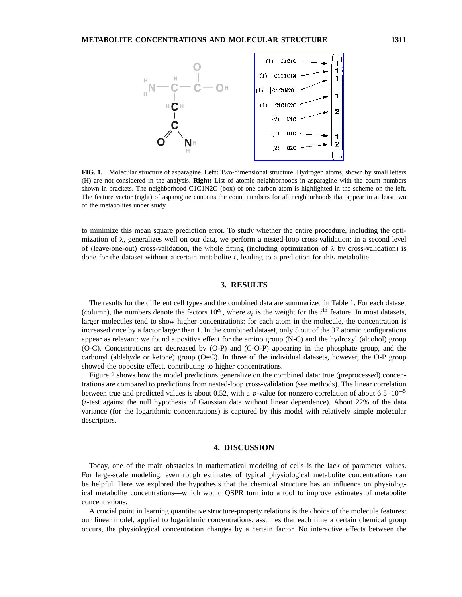

**FIG. 1.** Molecular structure of asparagine. **Left:** Two-dimensional structure. Hydrogen atoms, shown by small letters (H) are not considered in the analysis. **Right:** List of atomic neighborhoods in asparagine with the count numbers shown in brackets. The neighborhood C1C1N2O (box) of one carbon atom is highlighted in the scheme on the left. The feature vector (right) of asparagine contains the count numbers for all neighborhoods that appear in at least two of the metabolites under study.

to minimize this mean square prediction error. To study whether the entire procedure, including the optimization of  $\lambda$ , generalizes well on our data, we perform a nested-loop cross-validation: in a second level of (leave-one-out) cross-validation, the whole fitting (including optimization of  $\lambda$  by cross-validation) is done for the dataset without a certain metabolite  $i$ , leading to a prediction for this metabolite.

## **3. RESULTS**

The results for the different cell types and the combined data are summarized in Table 1. For each dataset (column), the numbers denote the factors  $10^{a_i}$ , where  $a_i$  is the weight for the i<sup>th</sup> feature. In most datasets, larger molecules tend to show higher concentrations: for each atom in the molecule, the concentration is increased once by a factor larger than 1. In the combined dataset, only 5 out of the 37 atomic configurations appear as relevant: we found a positive effect for the amino group (N-C) and the hydroxyl (alcohol) group (O-C). Concentrations are decreased by (O-P) and (C-O-P) appearing in the phosphate group, and the carbonyl (aldehyde or ketone) group (O=C). In three of the individual datasets, however, the O-P group showed the opposite effect, contributing to higher concentrations.

Figure 2 shows how the model predictions generalize on the combined data: true (preprocessed) concentrations are compared to predictions from nested-loop cross-validation (see methods). The linear correlation between true and predicted values is about 0.52, with a p-value for nonzero correlation of about 6.5 ·  $10^{-5}$ (t-test against the null hypothesis of Gaussian data without linear dependence). About 22% of the data variance (for the logarithmic concentrations) is captured by this model with relatively simple molecular descriptors.

### **4. DISCUSSION**

Today, one of the main obstacles in mathematical modeling of cells is the lack of parameter values. For large-scale modeling, even rough estimates of typical physiological metabolite concentrations can be helpful. Here we explored the hypothesis that the chemical structure has an influence on physiological metabolite concentrations—which would QSPR turn into a tool to improve estimates of metabolite concentrations.

A crucial point in learning quantitative structure-property relations is the choice of the molecule features: our linear model, applied to logarithmic concentrations, assumes that each time a certain chemical group occurs, the physiological concentration changes by a certain factor. No interactive effects between the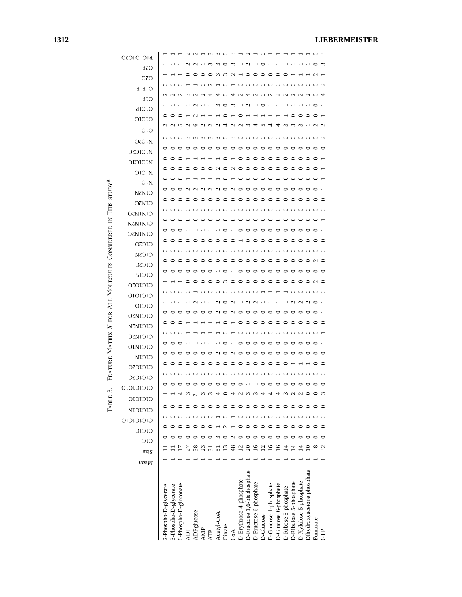| <b>070101014</b>   |                       |                       |                           |                 | $\overline{N}$ $\overline{N}$ $\overline{N}$ |     |            | $\cdot$ m m $\circ$ m $\text{--}$ m $\cdot$                                                                   |         |        |                         |                                       |                        | - ○ ・          |                       |                        |                      |                        |                        |                            | - ⊂ ന                                       |         |
|--------------------|-----------------------|-----------------------|---------------------------|-----------------|----------------------------------------------|-----|------------|---------------------------------------------------------------------------------------------------------------|---------|--------|-------------------------|---------------------------------------|------------------------|----------------|-----------------------|------------------------|----------------------|------------------------|------------------------|----------------------------|---------------------------------------------|---------|
| dZO                |                       |                       |                           |                 |                                              |     |            | m, m                                                                                                          |         | $\sim$ |                         |                                       |                        |                |                       |                        |                      |                        |                        |                            |                                             |         |
| OTC                |                       |                       |                           |                 |                                              |     |            | 0000001-00000                                                                                                 |         |        |                         |                                       |                        |                |                       |                        | $\circ$              |                        |                        |                            | $\sim$                                      |         |
| didio              |                       | $\circ$               |                           |                 |                                              |     |            |                                                                                                               |         |        |                         |                                       |                        |                |                       |                        |                      |                        |                        |                            | 000                                         |         |
|                    |                       |                       |                           |                 |                                              |     |            | a a a wa a a 400 da 400 da 400 da 400 da 400 da 400 da 400 da 41 da 42 da 43 da 44 da 45 da 46 da 47 da 48 da |         |        |                         |                                       |                        |                |                       |                        |                      |                        |                        |                            |                                             |         |
| dIO                |                       |                       |                           |                 |                                              |     |            | - - - - - - - -                                                                                               |         |        |                         |                                       |                        |                |                       |                        |                      |                        |                        |                            |                                             |         |
| OICIP              | $\circ\circ$          |                       | $\circ$                   |                 |                                              |     |            | $-0$ $-0$ $-$                                                                                                 |         |        |                         |                                       |                        |                |                       |                        |                      |                        |                        | $\circ$ $\circ$ $\circ$    |                                             |         |
| OICIC              |                       |                       |                           |                 |                                              |     |            |                                                                                                               |         |        |                         |                                       |                        |                |                       |                        |                      |                        |                        |                            | a a w a w a a a a a a w 4 w 4 4 w w w 4 w a |         |
| OIO                |                       |                       |                           |                 |                                              |     |            |                                                                                                               |         |        |                         |                                       |                        |                |                       |                        |                      |                        |                        |                            | 000mmmmm0m000000000000                      |         |
| <b>ZICZC</b>       |                       |                       |                           |                 |                                              |     |            |                                                                                                               |         |        |                         |                                       |                        |                |                       |                        |                      |                        |                        |                            |                                             |         |
| <b>ZICJCSC</b>     | $\circ \circ \circ$   |                       |                           |                 |                                              |     |            |                                                                                                               |         |        |                         |                                       |                        |                |                       |                        |                      |                        |                        |                            |                                             |         |
| <b>MICICIC</b>     |                       |                       |                           |                 |                                              |     |            |                                                                                                               |         |        |                         |                                       |                        |                |                       |                        |                      |                        |                        |                            |                                             |         |
| OIOIN              | $\circ$ $\circ$       |                       |                           |                 |                                              |     |            | 000000000000000000                                                                                            |         |        |                         |                                       |                        |                |                       |                        |                      |                        |                        |                            |                                             |         |
| ЭIN                |                       |                       |                           |                 |                                              |     |            |                                                                                                               |         |        |                         |                                       |                        |                |                       |                        |                      |                        |                        |                            |                                             |         |
| <b>CINZN</b>       |                       |                       |                           |                 |                                              |     |            |                                                                                                               |         |        |                         |                                       |                        |                |                       |                        |                      |                        |                        |                            |                                             |         |
| CINJC              |                       |                       |                           |                 |                                              |     |            |                                                                                                               |         |        |                         |                                       |                        |                |                       |                        |                      |                        |                        |                            |                                             |         |
| <b>CININIO</b>     |                       |                       |                           |                 |                                              |     |            |                                                                                                               |         |        |                         |                                       |                        |                |                       |                        |                      |                        |                        |                            |                                             |         |
| <b>NZNINIO</b>     |                       |                       |                           |                 |                                              |     |            |                                                                                                               |         |        |                         |                                       |                        |                |                       |                        |                      |                        |                        |                            |                                             |         |
| CININIO            |                       |                       | $\circ \circ \circ \cdot$ |                 |                                              |     |            |                                                                                                               |         |        |                         |                                       |                        |                |                       |                        |                      |                        |                        |                            | - 0 0 0 0 0 0 0 0 0 0 0 0 0 0               |         |
| CIC <sub>2</sub> O |                       |                       |                           |                 |                                              |     |            |                                                                                                               |         |        |                         |                                       |                        |                |                       |                        |                      |                        |                        |                            |                                             |         |
| CICSN              |                       |                       |                           |                 |                                              |     |            |                                                                                                               |         |        |                         |                                       |                        |                |                       |                        |                      |                        |                        |                            |                                             |         |
| CICZC              |                       |                       |                           |                 |                                              |     |            |                                                                                                               |         |        |                         |                                       |                        |                |                       |                        |                      |                        |                        |                            |                                             |         |
| CICIS              |                       |                       |                           |                 |                                              |     |            |                                                                                                               |         |        |                         |                                       |                        |                |                       |                        |                      |                        |                        |                            |                                             |         |
| <b>CICIO2O</b>     |                       |                       |                           |                 |                                              |     |            |                                                                                                               |         |        |                         |                                       |                        |                |                       |                        |                      |                        |                        |                            | 000m00000000000m0                           |         |
| CICIOIO            |                       |                       |                           |                 |                                              |     |            |                                                                                                               |         |        |                         |                                       |                        |                |                       |                        |                      |                        |                        |                            | . 0 0 0 0 0                                 |         |
| CICIO              |                       |                       |                           |                 |                                              |     |            | a--aoa-aa-                                                                                                    |         |        |                         |                                       |                        |                |                       | $  \sim$ $\sim$ $\sim$ |                      |                        |                        |                            |                                             |         |
| <b>CICIN30</b>     |                       |                       |                           |                 |                                              |     |            |                                                                                                               |         |        |                         |                                       |                        |                |                       |                        |                      |                        |                        |                            |                                             |         |
| CICINZN            | $\circ$ $\circ$       |                       |                           |                 |                                              |     |            |                                                                                                               |         |        |                         |                                       |                        |                |                       |                        |                      |                        |                        |                            | 。 - - - - - - - - - - - - - -               |         |
| CICINJC            |                       | 000                   |                           |                 |                                              |     |            |                                                                                                               |         |        |                         |                                       |                        |                |                       |                        |                      |                        |                        |                            | 。 - - - - - - - - - - - - - -               |         |
| CICINIO            | 000                   |                       |                           |                 |                                              |     |            |                                                                                                               |         |        |                         | 。 - - - - - - - - - - - - -           |                        |                |                       |                        |                      |                        |                        |                            |                                             |         |
| CICIN              | $\circ$ $\circ$       |                       | $\circ$                   | $\circ$ $\circ$ |                                              |     |            |                                                                                                               |         |        |                         |                                       |                        |                |                       |                        |                      |                        |                        |                            | 00N0N000000000000                           |         |
|                    | $\circ$ $\circ$       |                       | ⊝                         | $\circ$         | ⊝                                            |     |            | $\circ \circ \circ \circ \circ$                                                                               |         |        |                         | $\circ \circ \circ \circ \circ \circ$ |                        |                |                       |                        | $\circ$              |                        |                        |                            | $\circ$                                     | $\circ$ |
| CICICZO            |                       |                       |                           |                 |                                              |     |            |                                                                                                               |         |        |                         |                                       |                        |                |                       |                        |                      |                        |                        |                            |                                             | ⊝       |
| CICICZC            |                       |                       |                           |                 |                                              |     |            |                                                                                                               |         |        |                         |                                       |                        |                |                       |                        |                      |                        |                        |                            |                                             | $\circ$ |
| 010101010          |                       |                       |                           |                 |                                              |     |            |                                                                                                               |         |        |                         |                                       |                        |                |                       |                        |                      |                        |                        |                            | ○                                           |         |
| CICICIO            |                       |                       |                           |                 |                                              |     |            |                                                                                                               |         |        |                         |                                       |                        |                |                       |                        |                      |                        |                        |                            |                                             |         |
| CICICIN            |                       |                       |                           |                 |                                              |     |            |                                                                                                               |         |        |                         |                                       |                        |                |                       |                        |                      |                        |                        |                            |                                             |         |
| CICICICIC          |                       |                       |                           |                 |                                              |     |            |                                                                                                               |         |        |                         |                                       |                        |                |                       |                        |                      |                        |                        |                            |                                             |         |
| CICIC              |                       |                       |                           |                 |                                              |     |            |                                                                                                               |         |        |                         |                                       |                        |                |                       |                        |                      |                        |                        |                            |                                             |         |
| CIC                |                       |                       |                           |                 |                                              |     |            |                                                                                                               |         |        |                         |                                       |                        |                |                       |                        |                      |                        |                        |                            |                                             |         |
| əzig               |                       |                       |                           |                 |                                              |     |            |                                                                                                               |         | ≆      | $\bar{\omega}$          | ನ                                     | ≌                      | $\bar{\omega}$ | ≌                     | ≌                      |                      |                        |                        |                            |                                             | ≈       |
| uvə <sub>W</sub>   |                       |                       |                           |                 |                                              |     |            |                                                                                                               |         |        |                         |                                       |                        |                |                       |                        |                      |                        |                        |                            |                                             |         |
|                    |                       |                       |                           |                 |                                              |     |            |                                                                                                               |         |        |                         |                                       |                        |                |                       |                        |                      |                        |                        |                            |                                             |         |
|                    |                       |                       |                           |                 |                                              |     |            |                                                                                                               |         |        |                         |                                       |                        |                |                       |                        |                      |                        |                        |                            |                                             |         |
|                    |                       |                       |                           |                 |                                              |     |            |                                                                                                               |         |        |                         |                                       |                        |                |                       |                        |                      |                        |                        |                            |                                             |         |
|                    |                       |                       |                           |                 |                                              |     |            |                                                                                                               |         |        |                         |                                       |                        |                |                       |                        |                      |                        |                        |                            |                                             |         |
|                    |                       |                       |                           |                 |                                              |     |            |                                                                                                               |         |        |                         |                                       |                        |                |                       |                        |                      |                        |                        |                            |                                             |         |
|                    | 2-Phospho-D-glycerate | 3-Phospho-D-glycerate | 6-Phospho-D-gluconate     |                 | ADPglucose                                   |     |            | Acetyl-CoA                                                                                                    |         |        | D-Erythrose 4-phosphate | D-Fructose 1,6-bisphosphate           | D-Fructose 6-phosphate | D-Glucose      | D-Glucose 1-phosphate | D-Glucose 6-phosphate  | D-Ribose 5-phosphate | D-Ribulose 5-phosphate | D-Xylulose 5-phosphate | Dihydroxyacetone phosphate |                                             |         |
|                    |                       |                       |                           | ADP             |                                              | AMP | <b>ATP</b> |                                                                                                               | Citrate | රි     |                         |                                       |                        |                |                       |                        |                      |                        |                        |                            | Fumarate                                    | Ê       |
|                    |                       |                       |                           |                 |                                              |     |            |                                                                                                               |         |        |                         |                                       |                        |                |                       |                        |                      |                        |                        |                            |                                             |         |

Table 3. Feature Matrix X for All Molecules Considered in This studya

TABLE 3. FEATURE MATRIX  $X$  for All MOLECULES CONSIDERED IN THIS STUDY<sup>4</sup>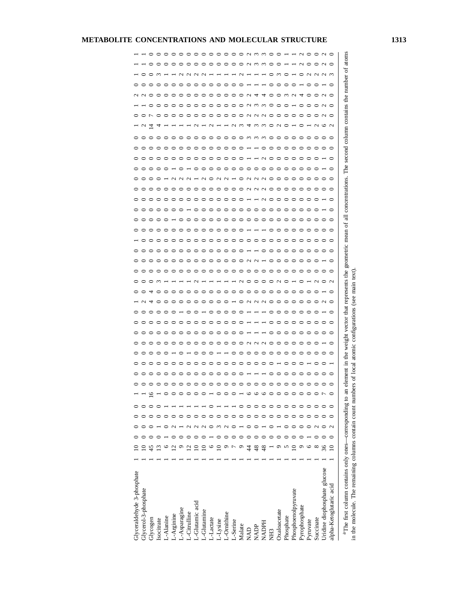| Glyceraldehyde 3-phosphate                                                                                                          |                          |  |   | $\circ$         |         |         |   | ○           | ⊂       | ⊂                                                  |                                                                                                                                                                                                                                                                                                                                  | ⊂       | ⊂               | 0       | 0        |         |   | ○       |         |         | ○                      | ⊂             |         | ⊂       |                                                                                                                                       | ∊        |                   |               |                   | $\mathbf{\sim}$ | ⊂                  |        |               |
|-------------------------------------------------------------------------------------------------------------------------------------|--------------------------|--|---|-----------------|---------|---------|---|-------------|---------|----------------------------------------------------|----------------------------------------------------------------------------------------------------------------------------------------------------------------------------------------------------------------------------------------------------------------------------------------------------------------------------------|---------|-----------------|---------|----------|---------|---|---------|---------|---------|------------------------|---------------|---------|---------|---------------------------------------------------------------------------------------------------------------------------------------|----------|-------------------|---------------|-------------------|-----------------|--------------------|--------|---------------|
| Glycerol-3-phosphate                                                                                                                |                          |  |   | $\circ$         | っ       | っ       |   | ○           | っ       | ○                                                  | $\sim$                                                                                                                                                                                                                                                                                                                           | っ       |                 | $\circ$ | $\circ$  |         |   | $\circ$ | っ       | っ       | ○                      |               |         | $\circ$ | っ                                                                                                                                     |          | $\mathcal{L}$     |               |                   | $\sim$          | ᅌ                  |        |               |
| Glycogen                                                                                                                            | 45                       |  |   | $\circ$         | ○       | っ       | ⊂ | ○           | っ       | ○                                                  | 4                                                                                                                                                                                                                                                                                                                                | 甘       |                 |         | っ        | ○       |   | $\circ$ | $\circ$ | っ       | ○                      |               |         |         | っ                                                                                                                                     |          | ₫                 | ↽             |                   |                 | ⊂<br>ᅌ             |        | ○             |
| Isocitrate                                                                                                                          |                          |  |   | $\circ$         | っ       | っ       |   | ᅌ           | ⊂       | ⊂<br>○                                             | $\circ$                                                                                                                                                                                                                                                                                                                          | っ       | $\sim$          | ○       | っ        | っ       |   | $\circ$ | $\circ$ | っ       | ○                      | ○             | ⊂       | ⊂       | $\circ$                                                                                                                               |          | 4                 | ○             | ⊂                 | ⊂               | $\sim$<br>$\circ$  |        | ᅌ             |
| L-Alanine                                                                                                                           |                          |  |   |                 |         |         |   | ○           |         | ⊂<br>⊂                                             | ᅌ                                                                                                                                                                                                                                                                                                                                | ○       |                 | ○       | ○        | ○       |   | $\circ$ |         | ○       | ○<br>⊂                 |               |         | ⊂       | ᅌ                                                                                                                                     |          |                   | ○             |                   | ⊂               | ᅌ                  |        | ᅌ             |
| L-Arginine                                                                                                                          |                          |  |   | $\circ$ $\circ$ | ○       | っ       |   | $\circ$     | ○       | ≏<br>⊂                                             | $\circ$                                                                                                                                                                                                                                                                                                                          | ⊂       |                 | ○       | っ        | ○       |   | $\circ$ |         | っ       | ⊂<br>≏                 | $\sim$ $\sim$ |         | ≏       | $\circ$                                                                                                                               | ⊂        |                   | $\circ$       | ○                 | ≏               | $\circ$            |        | ᅌ             |
| L-Asparagine                                                                                                                        |                          |  |   |                 | ⊂       | ○       |   | ⊂           | ⊂       | ⊂                                                  | ⊂                                                                                                                                                                                                                                                                                                                                | ⊂       |                 | ⊂       | ○        | ○       |   | $\circ$ | ○       | ○       | ⊂<br>⊂                 |               | ⊂       | ⊂       | ⊂                                                                                                                                     | ⊂        |                   | ⊂             | ⊂                 | ⊂               | $\sim$<br>っ        |        | $\circ$       |
| L-Citrulline                                                                                                                        |                          |  |   | $\circ$         | ○       | っ       |   | ○           | ○       | ≏<br>○                                             | っ                                                                                                                                                                                                                                                                                                                                | $\circ$ |                 | $\circ$ | っ        | っ       |   | $\circ$ | $\circ$ |         | ○<br>≏                 | $\mathbf{C}$  |         | ≏       | っ                                                                                                                                     | ○        |                   | $\circ$       | っ                 | ≏               | $\sim$ $\sim$<br>っ |        | $\circ$       |
| L-Glutamic acid                                                                                                                     |                          |  |   | $\circ$         | ○       | っ       | ⌒ | っ           | ○       | ⊂<br>⊂                                             | っ                                                                                                                                                                                                                                                                                                                                | $\circ$ | с               | $\circ$ | $\circ$  | $\circ$ | ⊂ | $\circ$ | ○       | っ       | ○<br>○                 |               | ⊂       | ⊂       | っ                                                                                                                                     | ⊂        | $\mathbf{\Omega}$ | ○             | ○                 | ⊂               | っ                  |        | $\circ$       |
| L-Glutanine                                                                                                                         |                          |  |   | $\circ$         | $\circ$ | $\circ$ | ○ | ᅌ           | $\circ$ | ᅌ                                                  | ᅌ                                                                                                                                                                                                                                                                                                                                | っ       |                 | $\circ$ | $\circ$  | $\circ$ |   | $\circ$ | $\circ$ | ᅌ       | ᅌ<br>ᅌ                 | $\sim$        | $\circ$ | ᅌ       | っ                                                                                                                                     | $\circ$  |                   | $\circ$       | ᅌ                 | $\circ$         | $\sim$<br>ᅌ        |        | $\circ$       |
| L-Lactate                                                                                                                           | ∘                        |  |   | $\circ$         | っ       | ○       | ⊂ | ⊂           | っ       | $\circ$<br>⊂                                       | $\circ$                                                                                                                                                                                                                                                                                                                          | っ       |                 | $\circ$ | $\circ$  | $\circ$ | っ | $\circ$ | $\circ$ | $\circ$ | ⊂<br>⊂                 |               | ○       | $\circ$ | $\circ$                                                                                                                               | $\circ$  | $\sim$            | $\circ$       | ○                 | $\circ$         | $\circ$            |        | $\circ$       |
| L-Lysine                                                                                                                            |                          |  |   | $\circ$         | $\circ$ | ᅌ       |   | $\circ$     | $\circ$ | ᅌ<br>ᅌ                                             | $\circ$                                                                                                                                                                                                                                                                                                                          | ○       |                 | $\circ$ | $\circ$  | $\circ$ | ○ | $\circ$ | $\circ$ | ᅌ       | ○<br>○                 | $\sim$ $\sim$ | っ       | っ       | $\circ$                                                                                                                               | $\circ$  |                   | $\circ$       | ᅌ                 | ᅌ               | $\circ$            |        | $\circ$       |
| L-Ornithine                                                                                                                         |                          |  |   | $\circ$         | $\circ$ | $\circ$ |   | $\circ$     | $\circ$ | $\circ$<br>$\circ$                                 | $\circ$                                                                                                                                                                                                                                                                                                                          | ○       |                 | $\circ$ | $\circ$  | $\circ$ | っ | $\circ$ | $\circ$ | $\circ$ | $\circ$<br>$\circ$     |               | $\circ$ | $\circ$ | $\circ$                                                                                                                               | ⊂        |                   | $\circ$       | $\circ$           | $\circ$         | $\circ$            |        | $\circ$       |
| L-Serine                                                                                                                            |                          |  |   | $\circ$         | $\circ$ | っ       | ⊂ | $\circ$     | っ       | ⊂<br>$\circ$                                       |                                                                                                                                                                                                                                                                                                                                  | ⊂       |                 | $\circ$ | $\circ$  | $\circ$ | ○ | $\circ$ | $\circ$ | $\circ$ | $\circ$<br>⊂           |               | ⊂       | ⊂       | ⊂                                                                                                                                     | ○        | $\omega$ $\omega$ | ○             | っ                 | $\circ$         | ⊂                  |        | $\circ$       |
| Malate                                                                                                                              |                          |  |   | $\circ$         | ○       | $\circ$ | ≏ | $\circ$     | $\circ$ | ○<br>っ                                             | $\circ$                                                                                                                                                                                                                                                                                                                          | $\circ$ | C<br>↘          | $\circ$ | $\circ$  | $\circ$ | っ | $\circ$ | $\circ$ | $\circ$ | $\circ$<br>⊂           | $\circ$       | $\circ$ | $\circ$ | ○                                                                                                                                     | っ        |                   | $\circ$       | $\circ$           | $\circ$         | $\sim$<br>っ        |        | ᅌ             |
| <b>NAD</b>                                                                                                                          |                          |  |   | $\circ$         |         | っ       | ⊂ | $\sim$      |         |                                                    |                                                                                                                                                                                                                                                                                                                                  | っ       | ⊂               | $\circ$ | $\alpha$ |         |   |         | $\circ$ | ⊂       |                        | <b>AUNO</b>   | $\circ$ |         |                                                                                                                                       | $\sim$   | 4                 | $\sim$        |                   | $\sim$          |                    | с      | $\sim$        |
| NADP                                                                                                                                | 48                       |  |   | $\circ$         |         | $\circ$ | っ |             |         |                                                    |                                                                                                                                                                                                                                                                                                                                  | $\circ$ | $\supset$       | $\circ$ |          |         |   |         | $\circ$ | っ       |                        |               | っ       |         |                                                                                                                                       | $\omega$ |                   | $\sim$        | $\omega$ $\omega$ | 4               |                    | $\sim$ | $\omega$      |
| <b>HADPH</b>                                                                                                                        | $\frac{8}{4}$            |  | ℃ | $\circ$         |         | っ       | っ | <b>AUOO</b> |         |                                                    | $\begin{array}{c} 0 & 0 & 0 \\ 0 & 0 & 0 \\ 0 & 0 & 0 \\ 0 & 0 & 0 \\ 0 & 0 & 0 \\ 0 & 0 & 0 \\ 0 & 0 & 0 \\ 0 & 0 & 0 \\ 0 & 0 & 0 \\ 0 & 0 & 0 \\ 0 & 0 & 0 \\ 0 & 0 & 0 & 0 \\ 0 & 0 & 0 & 0 \\ 0 & 0 & 0 & 0 \\ 0 & 0 & 0 & 0 & 0 \\ 0 & 0 & 0 & 0 & 0 \\ 0 & 0 & 0 & 0 & 0 \\ 0 & 0 & 0 & 0 & 0 & 0 \\ 0 & 0 & 0 & 0 & 0 &$ | $\circ$ | $\circ$         | $\circ$ |          | ○       |   |         | $\circ$ | っ       | <b>AAAOO</b><br>$\sim$ |               | ○       | $\sim$  | っ                                                                                                                                     | $\sim$   | mmono             | $\sim$ $\sim$ | $\omega$          | 4               |                    | $\sim$ | $\sim$        |
| <b>RH2</b>                                                                                                                          |                          |  |   | $\circ$ $\circ$ | $\circ$ | $\circ$ | っ |             | $\circ$ | ○<br>○                                             |                                                                                                                                                                                                                                                                                                                                  | $\circ$ | $\circ$         | $\circ$ | っ        | っ       |   | $\circ$ | $\circ$ | $\circ$ | $\circ$                |               | っ       | $\circ$ | $\circ$                                                                                                                               | $\circ$  |                   |               | っ                 | ᅌ               | ᅌ<br>っ             |        | ᅌ             |
| Oxaloacetate                                                                                                                        |                          |  |   |                 | っ       |         | っ |             | $\circ$ | ○<br>っ                                             |                                                                                                                                                                                                                                                                                                                                  | $\circ$ | $\sim$          | $\circ$ | $\circ$  | $\circ$ | ⊂ | $\circ$ | $\circ$ | $\circ$ | っ                      | ⊂             | っ       | っ       | $\circ$                                                                                                                               | ⊂        |                   | $\circ$       | っ                 | っ               | $\sim$<br>$\circ$  |        | ○             |
| Phosphate                                                                                                                           |                          |  |   | $\circ$         | $\circ$ | $\circ$ | ᅌ | $\circ$     | $\circ$ | っ<br>っ                                             | $\circ$                                                                                                                                                                                                                                                                                                                          | $\circ$ | ⊂               | $\circ$ | $\circ$  | $\circ$ | ○ | $\circ$ | $\circ$ | $\circ$ | $\circ$<br>ᅌ           | $\circ$       | っ       | っ       | $\circ$                                                                                                                               | $\circ$  |                   | $\circ$       | っ                 | $\omega$        | ⊂<br>$\circ$       |        |               |
| Phosphoenolpyruvate                                                                                                                 |                          |  |   | $\circ$         | $\circ$ | ᅌ       | ○ | $\circ$     | ⊝       | っ<br>○                                             | $\circ$                                                                                                                                                                                                                                                                                                                          | $\circ$ |                 | $\circ$ | $\circ$  | っ       |   | $\circ$ | $\circ$ | $\circ$ | $\circ$<br>○           | ⊂             | ≏       | ᅌ       | $\circ$                                                                                                                               |          |                   | ○             |                   | $\sim$          | っ                  |        |               |
| Pyrophosphate                                                                                                                       |                          |  |   | $\circ$         | $\circ$ | $\circ$ | ᅌ | $\circ$     | っ       | ○<br>○                                             | $\circ$                                                                                                                                                                                                                                                                                                                          | っ       |                 | $\circ$ | ⊂        | ○       |   | $\circ$ | $\circ$ | $\circ$ | $\circ$<br>ᅌ           | っ             | ○       | っ       | っ                                                                                                                                     | ○        | $\circ$           | っ             | ᅌ                 | ₹               | ○                  | C      | $\sim$ $\sim$ |
| Pyruvate                                                                                                                            | ٥                        |  |   |                 |         |         | っ | $\circ$     | $\circ$ | ○<br>○                                             | $\circ$                                                                                                                                                                                                                                                                                                                          | $\circ$ |                 | $\circ$ | っ        | っ       | ○ | $\circ$ | $\circ$ | $\circ$ | $\circ$<br>$\circ$     | $\circ$       | ○       | っ       | ○                                                                                                                                     | ○        |                   | ○             | $\circ$           | $\circ$         | $\sim$<br>っ        |        |               |
| Succinate                                                                                                                           | ${}^{\circ}$             |  |   | $\circ$         | 0       | 0       |   | ⊂           | っ       | ⊂<br>⊂                                             | っ                                                                                                                                                                                                                                                                                                                                | ⊂       | $\mathbf{\sim}$ | $\circ$ | ⊂        | ⊂       |   | $\circ$ | $\circ$ | $\circ$ | ⊂                      | ⊂             | ⊂       | ⊂       | ⊂                                                                                                                                     | ∊        | $\sim$            | ○             | ⊂                 | ⊂               | $\sim$<br>⊂        |        | $\circ$       |
| Uridine diophosphate glucose                                                                                                        | 36                       |  |   | $\circ$         |         |         |   |             |         |                                                    | $\sim$                                                                                                                                                                                                                                                                                                                           |         |                 | $\circ$ |          |         |   | $\circ$ |         |         |                        |               |         |         | ⊂                                                                                                                                     | ⊂        | ७                 |               |                   | $\sim$          | $\sim$             |        | $\sim$        |
| alpha-Ketoglutaric acid                                                                                                             | $\overline{\phantom{0}}$ |  | ∊ | $\circ$         |         |         |   | ○           | っ       | ○                                                  | $\circ$                                                                                                                                                                                                                                                                                                                          | っ       | $\sim$          | っ       | っ        |         |   | っ       | $\circ$ |         | っ                      | っ             |         | ○       | $\circ$                                                                                                                               | $\circ$  | $\mathbf{\Omega}$ | ○             |                   |                 | $\sim$<br>っ        |        |               |
| in the molecule. The remaining columns contain count number<br><sup>a</sup> The first column contains only ones—corresponding to an |                          |  |   |                 |         |         |   |             |         | ars of local atomic configurations (see main text) |                                                                                                                                                                                                                                                                                                                                  |         |                 |         |          |         |   |         |         |         |                        |               |         |         | element in the weight vector that represents the geometric mean of all concentrations. The second column contains the number of atoms |          |                   |               |                   |                 |                    |        |               |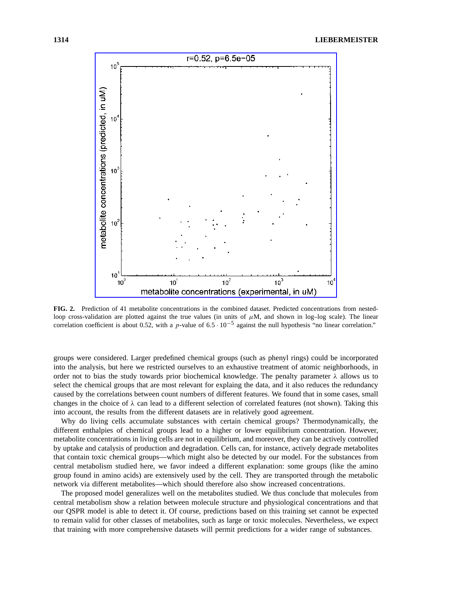

**FIG. 2.** Prediction of 41 metabolite concentrations in the combined dataset. Predicted concentrations from nestedloop cross-validation are plotted against the true values (in units of  $\mu$ M, and shown in log-log scale). The linear correlation coefficient is about 0.52, with a p-value of  $6.5 \cdot 10^{-5}$  against the null hypothesis "no linear correlation."

groups were considered. Larger predefined chemical groups (such as phenyl rings) could be incorporated into the analysis, but here we restricted ourselves to an exhaustive treatment of atomic neighborhoods, in order not to bias the study towards prior biochemical knowledge. The penalty parameter  $\lambda$  allows us to select the chemical groups that are most relevant for explaing the data, and it also reduces the redundancy caused by the correlations between count numbers of different features. We found that in some cases, small changes in the choice of  $\lambda$  can lead to a different selection of correlated features (not shown). Taking this into account, the results from the different datasets are in relatively good agreement.

Why do living cells accumulate substances with certain chemical groups? Thermodynamically, the different enthalpies of chemical groups lead to a higher or lower equilibrium concentration. However, metabolite concentrations in living cells are not in equilibrium, and moreover, they can be actively controlled by uptake and catalysis of production and degradation. Cells can, for instance, actively degrade metabolites that contain toxic chemical groups—which might also be detected by our model. For the substances from central metabolism studied here, we favor indeed a different explanation: some groups (like the amino group found in amino acids) are extensively used by the cell. They are transported through the metabolic network via different metabolites—which should therefore also show increased concentrations.

The proposed model generalizes well on the metabolites studied. We thus conclude that molecules from central metabolism show a relation between molecule structure and physiological concentrations and that our QSPR model is able to detect it. Of course, predictions based on this training set cannot be expected to remain valid for other classes of metabolites, such as large or toxic molecules. Nevertheless, we expect that training with more comprehensive datasets will permit predictions for a wider range of substances.